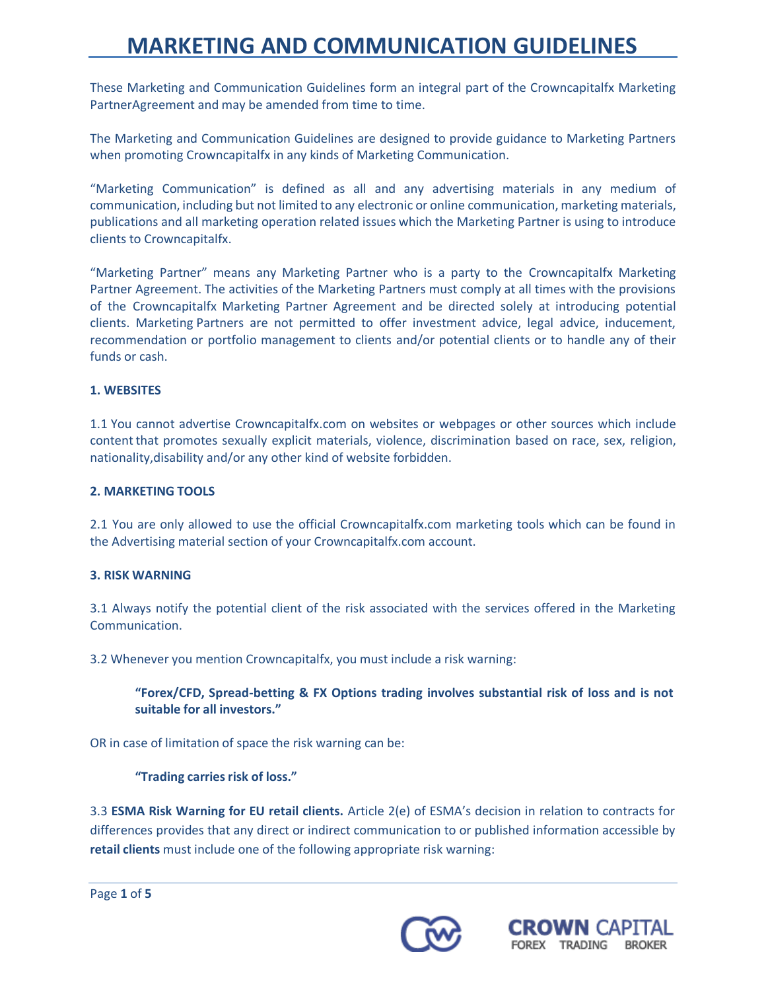These Marketing and Communication Guidelines form an integral part of the Crowncapitalfx Marketing PartnerAgreement and may be amended from time to time.

The Marketing and Communication Guidelines are designed to provide guidance to Marketing Partners when promoting Crowncapitalfx in any kinds of Marketing Communication.

"Marketing Communication" is defined as all and any advertising materials in any medium of communication, including but not limited to any electronic or online communication, marketing materials, publications and all marketing operation related issues which the Marketing Partner is using to introduce clients to Crowncapitalfx.

"Marketing Partner" means any Marketing Partner who is a party to the Crowncapitalfx Marketing Partner Agreement. The activities of the Marketing Partners must comply at all times with the provisions of the Crowncapitalfx Marketing Partner Agreement and be directed solely at introducing potential clients. Marketing Partners are not permitted to offer investment advice, legal advice, inducement, recommendation or portfolio management to clients and/or potential clients or to handle any of their funds or cash.

### **1. WEBSITES**

1.1 You cannot advertise Crowncapitalfx.com on websites or webpages or other sources which include contentthat promotes sexually explicit materials, violence, discrimination based on race, sex, religion, nationality,disability and/or any other kind of website forbidden.

#### **2. MARKETING TOOLS**

2.1 You are only allowed to use the official Crowncapitalfx.com marketing tools which can be found in the Advertising material section of your Crowncapitalfx.com account.

#### **3. RISK WARNING**

3.1 Always notify the potential client of the risk associated with the services offered in the Marketing Communication.

3.2 Whenever you mention Crowncapitalfx, you must include a risk warning:

### **"Forex/CFD, Spread-betting & FX Options trading involves substantial risk of loss and is not suitable for all investors."**

OR in case of limitation of space the risk warning can be:

### **"Trading carriesrisk of loss."**

3.3 **ESMA Risk Warning for EU retail clients.** Article 2(e) of ESMA's decision in relation to contracts for differences provides that any direct or indirect communication to or published information accessible by **retail clients** must include one of the following appropriate risk warning:



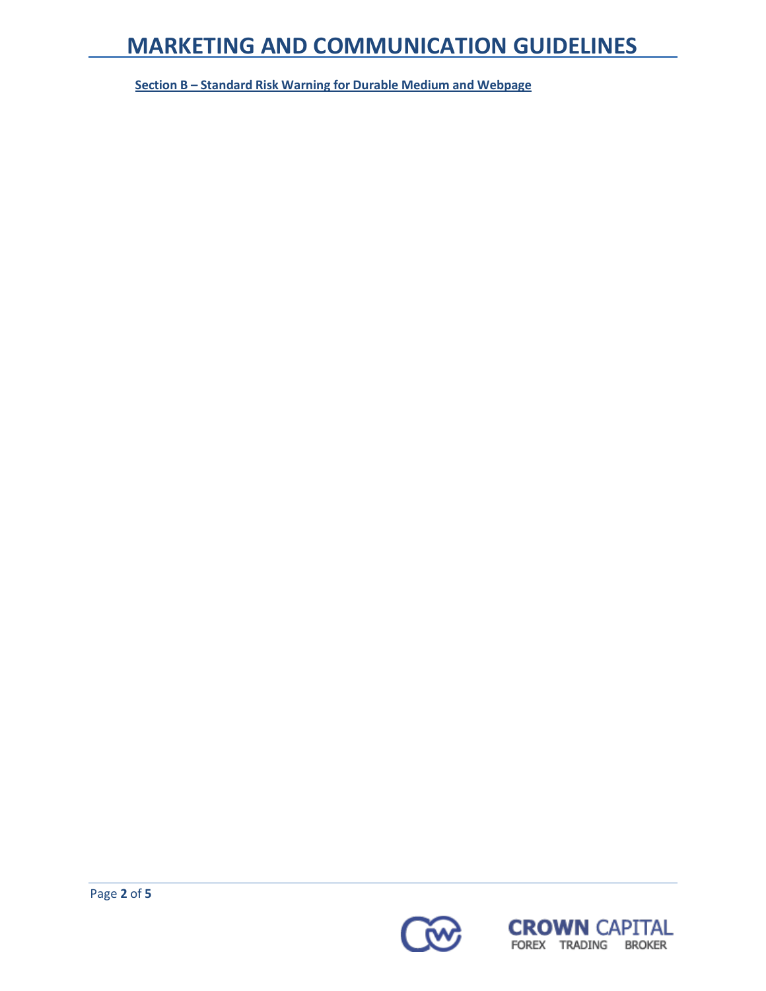**Section B – Standard Risk Warning for Durable Medium and Webpage**

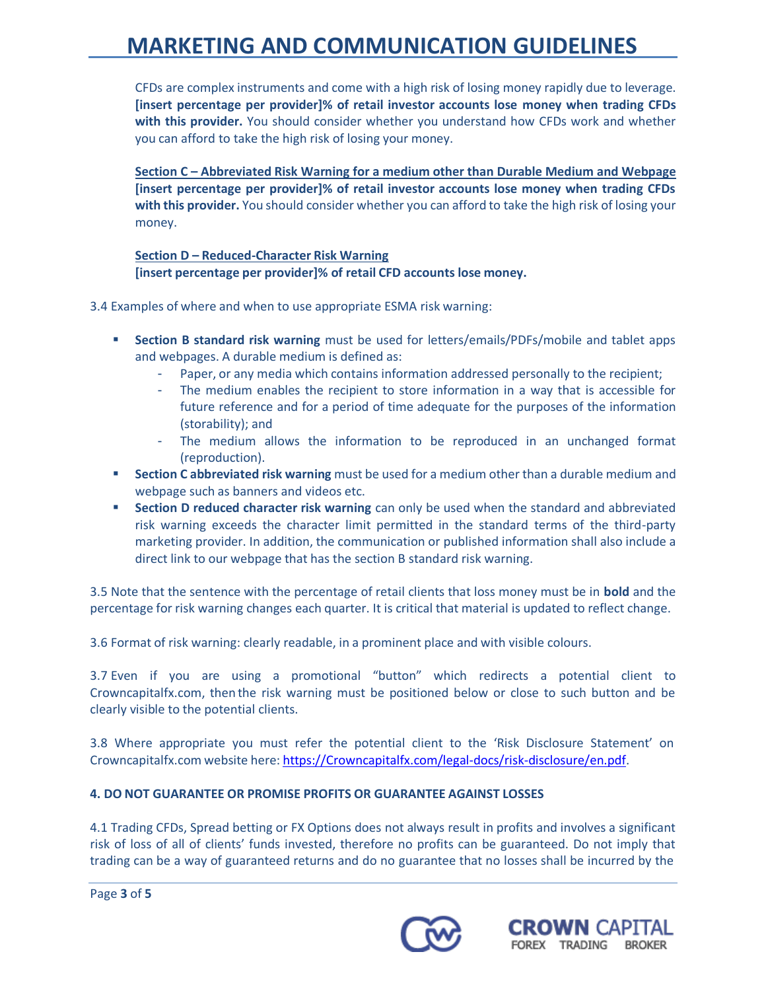CFDs are complex instruments and come with a high risk of losing money rapidly due to leverage. **[insert percentage per provider]% of retail investor accounts lose money when trading CFDs with this provider.** You should consider whether you understand how CFDs work and whether you can afford to take the high risk of losing your money.

**Section C – Abbreviated Risk Warning for a medium other than Durable Medium and Webpage [insert percentage per provider]% of retail investor accounts lose money when trading CFDs with this provider.** You should consider whether you can afford to take the high risk of losing your money.

### **Section D – Reduced-Character Risk Warning [insert percentage per provider]% of retail CFD accounts lose money.**

3.4 Examples of where and when to use appropriate ESMA risk warning:

- **Section B standard risk warning** must be used for letters/emails/PDFs/mobile and tablet apps and webpages. A durable medium is defined as:
	- Paper, or any media which contains information addressed personally to the recipient;
	- The medium enables the recipient to store information in a way that is accessible for future reference and for a period of time adequate for the purposes of the information (storability); and
	- The medium allows the information to be reproduced in an unchanged format (reproduction).
- **Section C abbreviated risk warning** must be used for a medium other than a durable medium and webpage such as banners and videos etc.
- **Section D reduced character risk warning** can only be used when the standard and abbreviated risk warning exceeds the character limit permitted in the standard terms of the third-party marketing provider. In addition, the communication or published information shall also include a direct link to our webpage that has the section B standard risk warning.

3.5 Note that the sentence with the percentage of retail clients that loss money must be in **bold** and the percentage for risk warning changes each quarter. It is critical that material is updated to reflect change.

3.6 Format of risk warning: clearly readable, in a prominent place and with visible colours.

3.7 Even if you are using a promotional "button" which redirects a potential client to Crowncapitalfx.com, then the risk warning must be positioned below or close to such button and be clearly visible to the potential clients.

3.8 Where appropriate you must refer the potential client to the 'Risk Disclosure Statement' on Crowncapitalfx.com website here: [https://Crowncapitalfx.com/legal-docs/risk-disclosure/en.pdf.](https://crowncapitalfx.com/legal-docs/risk-disclosure/en.pdf)

### **4. DO NOT GUARANTEE OR PROMISE PROFITS OR GUARANTEE AGAINST LOSSES**

4.1 Trading CFDs, Spread betting or FX Options does not always result in profits and involves a significant risk of loss of all of clients' funds invested, therefore no profits can be guaranteed. Do not imply that trading can be a way of guaranteed returns and do no guarantee that no losses shall be incurred by the

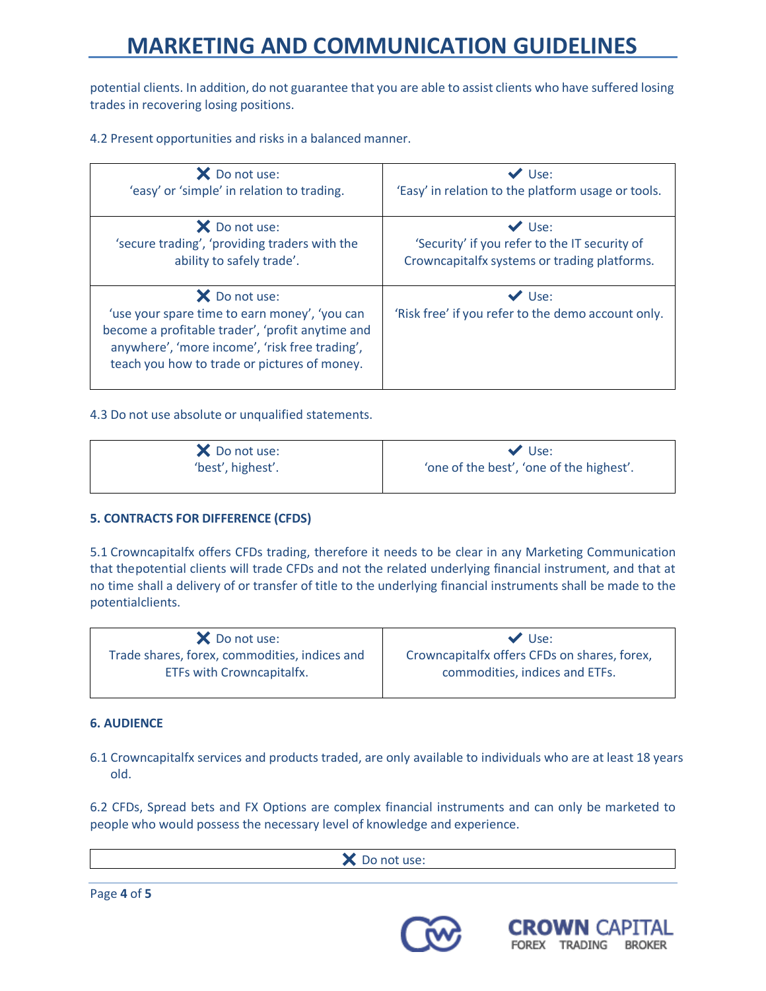potential clients. In addition, do not guarantee that you are able to assist clients who have suffered losing trades in recovering losing positions.

4.2 Present opportunities and risks in a balanced manner.

| X Do not use:                                                                                                                                                                                                        | $\vee$ Use:                                                       |
|----------------------------------------------------------------------------------------------------------------------------------------------------------------------------------------------------------------------|-------------------------------------------------------------------|
| 'easy' or 'simple' in relation to trading.                                                                                                                                                                           | 'Easy' in relation to the platform usage or tools.                |
| X Do not use:                                                                                                                                                                                                        | $\vee$ Use:                                                       |
| 'secure trading', 'providing traders with the                                                                                                                                                                        | 'Security' if you refer to the IT security of                     |
| ability to safely trade'.                                                                                                                                                                                            | Crowncapitalfx systems or trading platforms.                      |
| X Do not use:<br>'use your spare time to earn money', 'you can<br>become a profitable trader', 'profit anytime and<br>anywhere', 'more income', 'risk free trading',<br>teach you how to trade or pictures of money. | $\vee$ Use:<br>'Risk free' if you refer to the demo account only. |

4.3 Do not use absolute or unqualified statements.

| X Do not use:     | $\vee$ Use:                              |
|-------------------|------------------------------------------|
| 'best', highest'. | 'one of the best', 'one of the highest'. |

### **5. CONTRACTS FOR DIFFERENCE (CFDS)**

5.1 Crowncapitalfx offers CFDs trading, therefore it needs to be clear in any Marketing Communication that thepotential clients will trade CFDs and not the related underlying financial instrument, and that at no time shall a delivery of or transfer of title to the underlying financial instruments shall be made to the potentialclients.

| X Do not use:                                                              | $\vee$ Use:                                                                    |
|----------------------------------------------------------------------------|--------------------------------------------------------------------------------|
| Trade shares, forex, commodities, indices and<br>ETFs with Crowncapitalfx. | Crowncapitalfx offers CFDs on shares, forex,<br>commodities, indices and ETFs. |
|                                                                            |                                                                                |

### **6. AUDIENCE**

6.1 Crowncapitalfx services and products traded, are only available to individuals who are at least 18 years old.

6.2 CFDs, Spread bets and FX Options are complex financial instruments and can only be marketed to people who would possess the necessary level of knowledge and experience.

X Do not use:

Page **4** of **5**



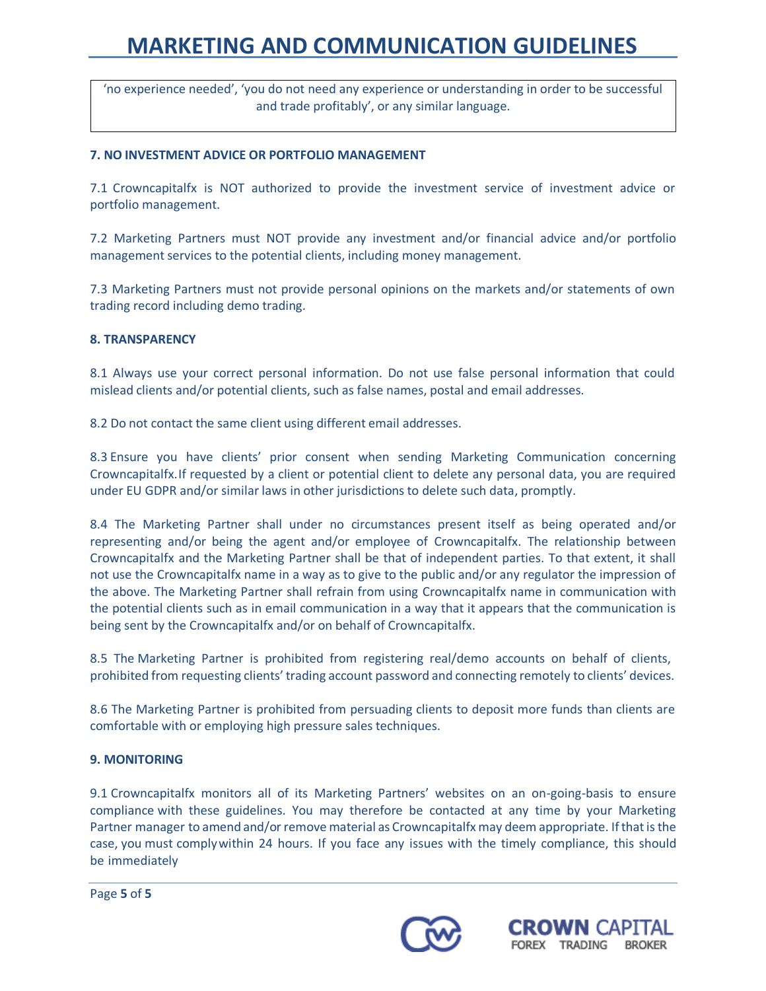'no experience needed', 'you do not need any experience or understanding in order to be successful and trade profitably', or any similar language.

### **7. NO INVESTMENT ADVICE OR PORTFOLIO MANAGEMENT**

7.1 Crowncapitalfx is NOT authorized to provide the investment service of investment advice or portfolio management.

7.2 Marketing Partners must NOT provide any investment and/or financial advice and/or portfolio management services to the potential clients, including money management.

7.3 Marketing Partners must not provide personal opinions on the markets and/or statements of own trading record including demo trading.

#### **8. TRANSPARENCY**

8.1 Always use your correct personal information. Do not use false personal information that could mislead clients and/or potential clients, such as false names, postal and email addresses.

8.2 Do not contact the same client using different email addresses.

8.3 Ensure you have clients' prior consent when sending Marketing Communication concerning Crowncapitalfx.If requested by a client or potential client to delete any personal data, you are required under EU GDPR and/or similar laws in other jurisdictions to delete such data, promptly.

8.4 The Marketing Partner shall under no circumstances present itself as being operated and/or representing and/or being the agent and/or employee of Crowncapitalfx. The relationship between Crowncapitalfx and the Marketing Partner shall be that of independent parties. To that extent, it shall not use the Crowncapitalfx name in a way as to give to the public and/or any regulator the impression of the above. The Marketing Partner shall refrain from using Crowncapitalfx name in communication with the potential clients such as in email communication in a way that it appears that the communication is being sent by the Crowncapitalfx and/or on behalf of Crowncapitalfx.

8.5 The Marketing Partner is prohibited from registering real/demo accounts on behalf of clients, prohibited from requesting clients' trading account password and connecting remotely to clients' devices.

8.6 The Marketing Partner is prohibited from persuading clients to deposit more funds than clients are comfortable with or employing high pressure sales techniques.

#### **9. MONITORING**

9.1 Crowncapitalfx monitors all of its Marketing Partners' websites on an on-going-basis to ensure compliance with these guidelines. You may therefore be contacted at any time by your Marketing Partner manager to amend and/or remove material as Crowncapitalfx may deem appropriate. If that is the case, you must complywithin 24 hours. If you face any issues with the timely compliance, this should be immediately

Page **5** of **5**